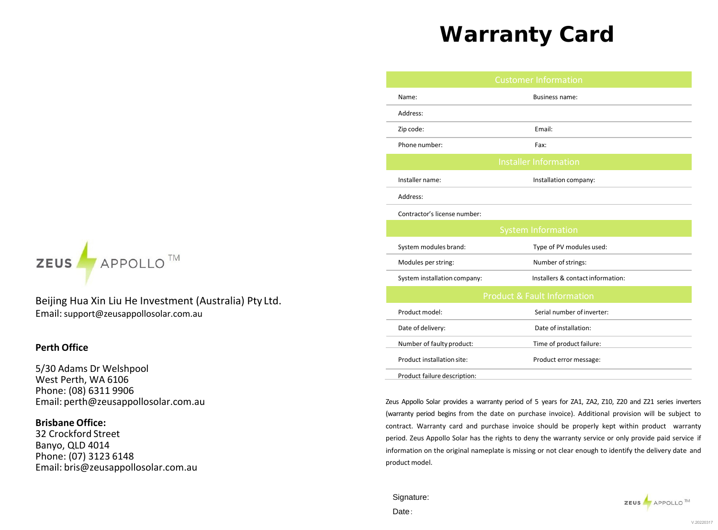# **Warranty Card**



Beijing Hua Xin Liu He Investment (Australia) Pty Ltd. Email:support@zeusappollosolar.com.au

### **Perth Office**

5/30 Adams Dr Welshpool West Perth, WA 6106 Phon[e: \(08\) 6311](mailto:perth@zeusappollosolar.com.au) 9906 Email: perth@zeusappollosolar.com.au

## **Brisbane Office:**

32 Crockford Street Banyo, QLD 4014 Phone: (07) 3123 6148 Email: [bris@zeusappollosolar.com.au](mailto:bris@zeusappollosolar.com.au) 

|                              | <b>Customer Information</b>            |
|------------------------------|----------------------------------------|
| Name:                        | <b>Business name:</b>                  |
| Address:                     |                                        |
| Zip code:                    | Email:                                 |
| Phone number:                | Fax:                                   |
|                              | <b>Installer Information</b>           |
| Installer name:              | Installation company:                  |
| Address:                     |                                        |
| Contractor's license number: |                                        |
|                              | <b>System Information</b>              |
| System modules brand:        | Type of PV modules used:               |
| Modules per string:          | Number of strings:                     |
| System installation company: | Installers & contact information:      |
|                              | <b>Product &amp; Fault Information</b> |
| Product model:               | Serial number of inverter:             |
| Date of delivery:            | Date of installation:                  |
| Number of faulty product:    | Time of product failure:               |
| Product installation site:   | Product error message:                 |
| Product failure description: |                                        |

Zeus Appollo Solar provides a warranty period of 5 years for ZA1, ZA2, Z10, Z20 and Z21 series inverters (warranty period begins from the date on purchase invoice). Additional provision will be subject to contract. Warranty card and purchase invoice should be properly kept within product warranty period. Zeus Appollo Solar has the rights to deny the warranty service or only provide paid service if information on the original nameplate is missing or not clear enough to identify the delivery date and product model.

# Signature: Date:



V.20220317